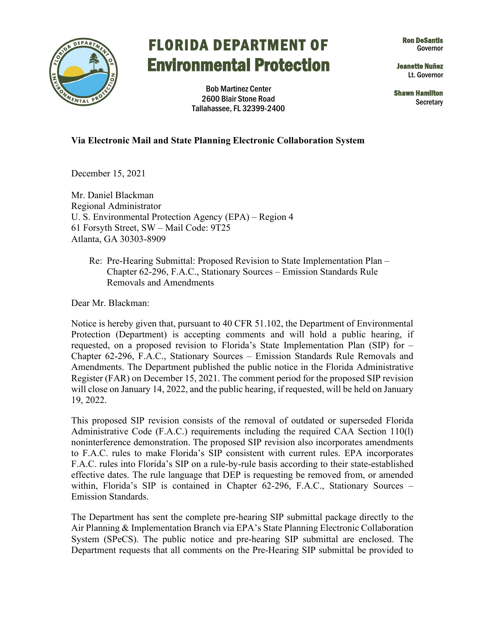

## FLORIDA DEPARTMENT OF Ron DeSantls Governor Environmental Protection Jeanette Nuñez

Bob Martinez Center Shawn Hamilton 2600 Blair Stone Road Shawn Hamilton Shawn Hamilton Secretary Secretary Secretary Secretary Secretary Secretary Secretary Secretary Secretary Secretary Secretary Secretary Secretary Secre

Lt. Governor

## **Via Electronic Mail and State Planning Electronic Collaboration System**

December 15, 2021

 U. S. Environmental Protection Agency (EPA) – Region 4 61 Forsyth Street, SW – Mail Code: 9T25 Mr. Daniel Blackman Regional Administrator Atlanta, GA 30303-8909

 Chapter 62-296, F.A.C., Stationary Sources – Emission Standards Rule Removals and Amendments Dear Mr. Blackman: Re: Pre-Hearing Submittal: Proposed Revision to State Implementation Plan –

 Chapter 62-296, F.A.C., Stationary Sources – Emission Standards Rule Removals and Notice is hereby given that, pursuant to 40 CFR 51.102, the Department of Environmental Protection (Department) is accepting comments and will hold a public hearing, if requested, on a proposed revision to Florida's State Implementation Plan (SIP) for – Amendments. The Department published the public notice in the Florida Administrative Register (FAR) on December 15, 2021. The comment period for the proposed SIP revision will close on January 14, 2022, and the public hearing, if requested, will be held on January 19, 2022.

 F.A.C. rules into Florida's SIP on a rule-by-rule basis according to their state-established This proposed SIP revision consists of the removal of outdated or superseded Florida Administrative Code (F.A.C.) requirements including the required CAA Section 110(l) noninterference demonstration. The proposed SIP revision also incorporates amendments to F.A.C. rules to make Florida's SIP consistent with current rules. EPA incorporates effective dates. The rule language that DEP is requesting be removed from, or amended within, Florida's SIP is contained in Chapter 62-296, F.A.C., Stationary Sources – Emission Standards.

The Department has sent the complete pre-hearing SIP submittal package directly to the Air Planning & Implementation Branch via EPA's State Planning Electronic Collaboration System (SPeCS). The public notice and pre-hearing SIP submittal are enclosed. The Department requests that all comments on the Pre-Hearing SIP submittal be provided to